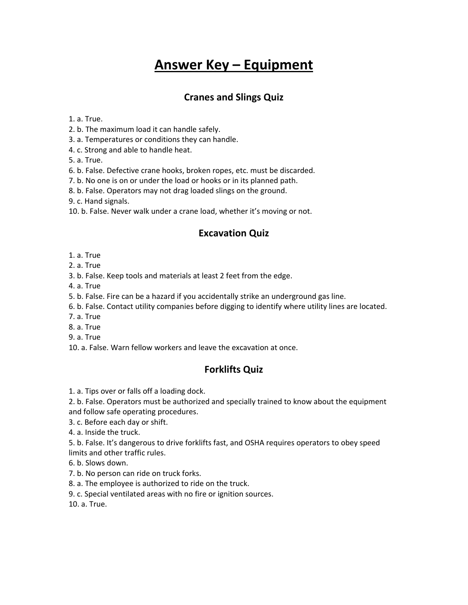# **Answer Key – Equipment**

### **Cranes and Slings Quiz**

1. a. True.

- 2. b. The maximum load it can handle safely.
- 3. a. Temperatures or conditions they can handle.
- 4. c. Strong and able to handle heat.
- 5. a. True.
- 6. b. False. Defective crane hooks, broken ropes, etc. must be discarded.
- 7. b. No one is on or under the load or hooks or in its planned path.
- 8. b. False. Operators may not drag loaded slings on the ground.
- 9. c. Hand signals.
- 10. b. False. Never walk under a crane load, whether it's moving or not.

#### **Excavation Quiz**

- 1. a. True
- 2. a. True
- 3. b. False. Keep tools and materials at least 2 feet from the edge.
- 4. a. True
- 5. b. False. Fire can be a hazard if you accidentally strike an underground gas line.
- 6. b. False. Contact utility companies before digging to identify where utility lines are located.
- 7. a. True
- 8. a. True
- 9. a. True
- 10. a. False. Warn fellow workers and leave the excavation at once.

#### **Forklifts Quiz**

- 1. a. Tips over or falls off a loading dock.
- 2. b. False. Operators must be authorized and specially trained to know about the equipment and follow safe operating procedures.
- 3. c. Before each day or shift.
- 4. a. Inside the truck.
- 5. b. False. It's dangerous to drive forklifts fast, and OSHA requires operators to obey speed limits and other traffic rules.
- 
- 6. b. Slows down.
- 7. b. No person can ride on truck forks.
- 8. a. The employee is authorized to ride on the truck.
- 9. c. Special ventilated areas with no fire or ignition sources.

10. a. True.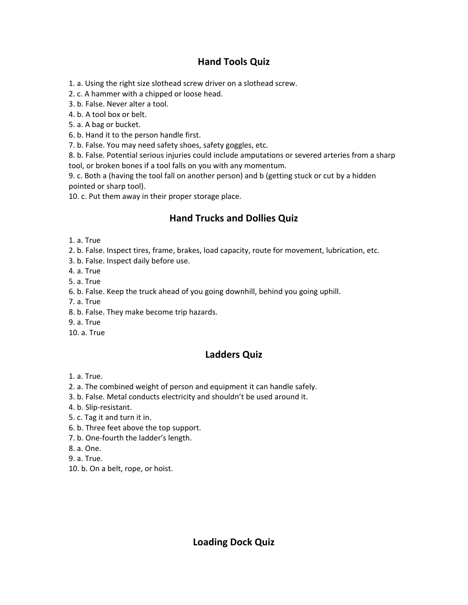## **Hand Tools Quiz**

1. a. Using the right size slothead screw driver on a slothead screw.

2. c. A hammer with a chipped or loose head.

3. b. False. Never alter a tool.

4. b. A tool box or belt.

5. a. A bag or bucket.

6. b. Hand it to the person handle first.

7. b. False. You may need safety shoes, safety goggles, etc.

8. b. False. Potential serious injuries could include amputations or severed arteries from a sharp tool, or broken bones if a tool falls on you with any momentum.

9. c. Both a (having the tool fall on another person) and b (getting stuck or cut by a hidden pointed or sharp tool).

10. c. Put them away in their proper storage place.

# **Hand Trucks and Dollies Quiz**

1. a. True

2. b. False. Inspect tires, frame, brakes, load capacity, route for movement, lubrication, etc.

3. b. False. Inspect daily before use.

4. a. True

5. a. True

6. b. False. Keep the truck ahead of you going downhill, behind you going uphill.

7. a. True

8. b. False. They make become trip hazards.

- 9. a. True
- 10. a. True

# **Ladders Quiz**

- 1. a. True.
- 2. a. The combined weight of person and equipment it can handle safely.
- 3. b. False. Metal conducts electricity and shouldn't be used around it.
- 4. b. Slip-resistant.
- 5. c. Tag it and turn it in.
- 6. b. Three feet above the top support.
- 7. b. One-fourth the ladder's length.

8. a. One.

- 9. a. True.
- 10. b. On a belt, rope, or hoist.

## **Loading Dock Quiz**